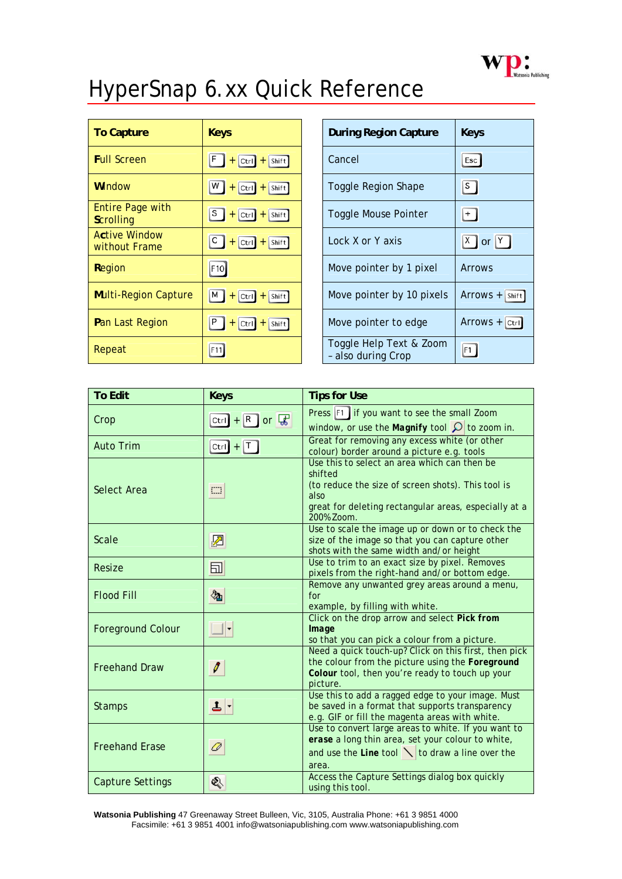

## HyperSnap 6.xx Quick Reference

| <b>To Capture</b>                           | <b>Keys</b>                                | <b>During Region Capture</b>                  | <b>Keys</b>        |
|---------------------------------------------|--------------------------------------------|-----------------------------------------------|--------------------|
| <b>Full Screen</b>                          | F<br>$+$ Ctrl $+$ Shift                    | Cancel                                        | Esc                |
| <b>Window</b>                               | w j<br>$+$ Ctrl $+$ Shift                  | <b>Toggle Region Shape</b>                    | $\lvert s \rvert$  |
| <b>Entire Page with</b><br><b>Scrolling</b> | s  <br>$+$ Ctrl $+$ Shift                  | <b>Toggle Mouse Pointer</b>                   | $+$                |
| <b>Active Window</b><br>without Frame       | C<br>$ Ctrl   +   Shift  $<br>$+$          | Lock X or Y axis                              | $X$ or $Y$         |
| Region                                      | F10                                        | Move pointer by 1 pixel                       | Arrows             |
| <b>Multi-Region Capture</b>                 | мĮ<br>$ Ctrl \nightharpoonup$ Shift<br>$+$ | Move pointer by 10 pixels                     | $ArrowS +  Shift $ |
| Pan Last Region                             | Ρ<br> Ctrl <br>$+$ Shift<br>$+$            | Move pointer to edge                          | $ArrowS +  Ctrl $  |
| Repeat                                      | F11                                        | Toggle Help Text & Zoom<br>- also during Crop | F1                 |

| <b>To Edit</b>           | <b>Keys</b>       | <b>Tips for Use</b>                                                                                                                                                                          |
|--------------------------|-------------------|----------------------------------------------------------------------------------------------------------------------------------------------------------------------------------------------|
| Crop                     | $Ctrl + R$ or $R$ | Press F1 if you want to see the small Zoom<br>window, or use the <i>Magnify</i> tool $\Omega$ to zoom in.                                                                                    |
| <b>Auto Trim</b>         | Ctrl + $T$        | Great for removing any excess white (or other<br>colour) border around a picture e.g. tools                                                                                                  |
| <b>Select Area</b>       | $\Box$            | Use this to select an area which can then be<br>shifted<br>(to reduce the size of screen shots). This tool is<br>also<br>great for deleting rectangular areas, especially at a<br>200% Zoom. |
| Scale                    | ▨                 | Use to scale the image up or down or to check the<br>size of the image so that you can capture other<br>shots with the same width and/or height                                              |
| Resize                   | 园                 | Use to trim to an exact size by pixel. Removes<br>pixels from the right-hand and/or bottom edge.                                                                                             |
| <b>Flood Fill</b>        | 匎                 | Remove any unwanted grey areas around a menu,<br>for<br>example, by filling with white.                                                                                                      |
| <b>Foreground Colour</b> |                   | Click on the drop arrow and select Pick from<br>Image<br>so that you can pick a colour from a picture.                                                                                       |
| <b>Freehand Draw</b>     | Ø                 | Need a quick touch-up? Click on this first, then pick<br>the colour from the picture using the Foreground<br>Colour tool, then you're ready to touch up your<br>picture.                     |
| <b>Stamps</b>            | ᆦ                 | Use this to add a ragged edge to your image. Must<br>be saved in a format that supports transparency<br>e.g. GIF or fill the magenta areas with white.                                       |
| <b>Freehand Erase</b>    | ◎                 | Use to convert large areas to white. If you want to<br>erase a long thin area, set your colour to white,<br>and use the <i>Line</i> tool $\ \cdot\ $ to draw a line over the<br>area.        |
| <b>Capture Settings</b>  | ⇖                 | Access the Capture Settings dialog box quickly<br>using this tool.                                                                                                                           |

**Watsonia Publishing** 47 Greenaway Street Bulleen, Vic, 3105, Australia Phone: +61 3 9851 4000 Facsimile: +61 3 9851 4001 info@watsoniapublishing.com www.watsoniapublishing.com